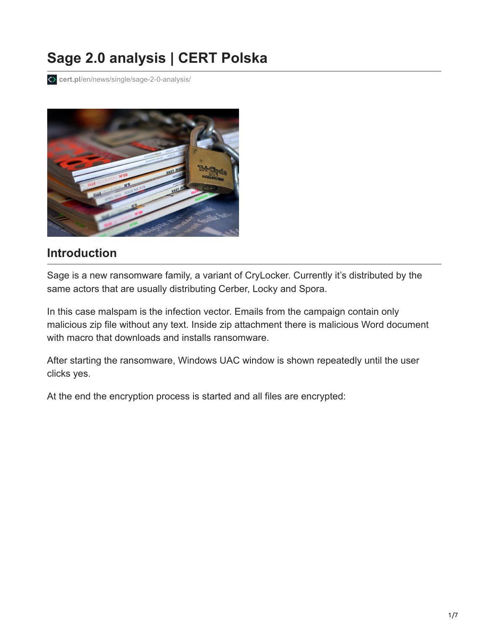# **Sage 2.0 analysis | CERT Polska**

**cert.pl**[/en/news/single/sage-2-0-analysis/](https://www.cert.pl/en/news/single/sage-2-0-analysis/)



### **Introduction**

Sage is a new ransomware family, a variant of CryLocker. Currently it's distributed by the same actors that are usually distributing Cerber, Locky and Spora.

In this case malspam is the infection vector. Emails from the campaign contain only malicious zip file without any text. Inside zip attachment there is malicious Word document with macro that downloads and installs ransomware.

After starting the ransomware, Windows UAC window is shown repeatedly until the user clicks yes.

At the end the encryption process is started and all files are encrypted: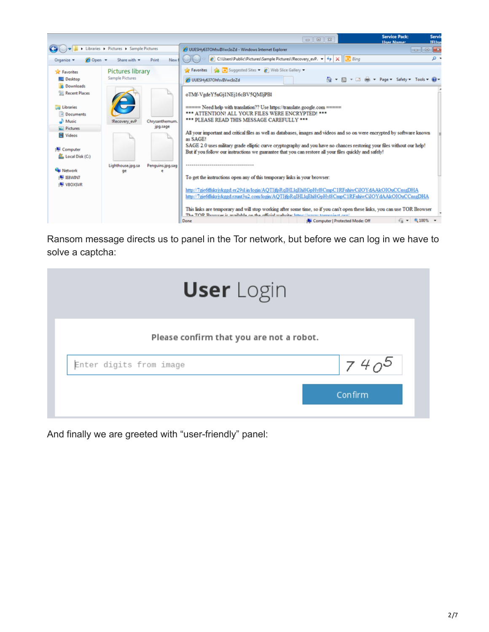

Ransom message directs us to panel in the Tor network, but before we can log in we have to solve a captcha:

| <b>User</b> Login                        |           |  |  |  |
|------------------------------------------|-----------|--|--|--|
| Please confirm that you are not a robot. |           |  |  |  |
| Enter digits from image                  | $740^{5}$ |  |  |  |
|                                          | Confirm   |  |  |  |

And finally we are greeted with "user-friendly" panel: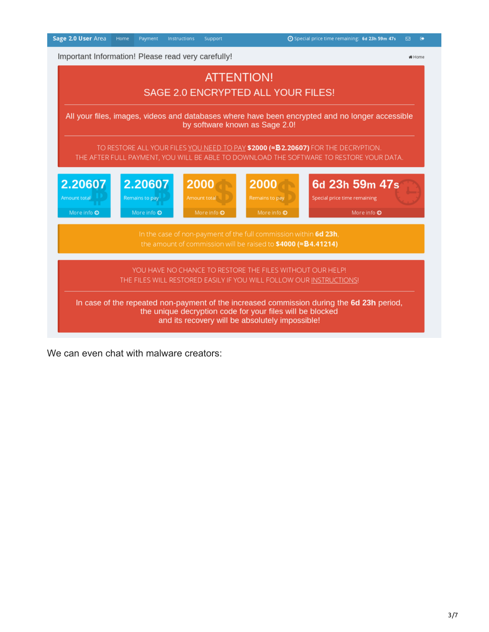| Sage 2.0 User Area<br>Home Payment<br>Instructions<br>Support                                                                                                                                             | ⊙ Special price time remaining: 6d 23h 59m 47s<br>⊠           |  |  |  |  |  |
|-----------------------------------------------------------------------------------------------------------------------------------------------------------------------------------------------------------|---------------------------------------------------------------|--|--|--|--|--|
| Important Information! Please read very carefully!                                                                                                                                                        | # Home                                                        |  |  |  |  |  |
| <b>ATTENTION!</b>                                                                                                                                                                                         |                                                               |  |  |  |  |  |
| SAGE 2.0 ENCRYPTED ALL YOUR FILES!                                                                                                                                                                        |                                                               |  |  |  |  |  |
| All your files, images, videos and databases where have been encrypted and no longer accessible<br>by software known as Sage 2.0!                                                                         |                                                               |  |  |  |  |  |
| TO RESTORE ALL YOUR FILES YOU NEED TO PAY \$2000 (=\$2.20607) FOR THE DECRYPTION.<br>THE AFTER FULL PAYMENT, YOU WILL BE ABLE TO DOWNLOAD THE SOFTWARE TO RESTORE YOUR DATA.                              |                                                               |  |  |  |  |  |
| 2.20607<br>2.20607<br>2000<br>2000<br>Remains to pay<br>Remains to pay<br>Amount total<br>Amount total<br>More info $\odot$<br>More info O<br>More info $\odot$<br>More info $\odot$                      | 6d 23h 59m 47s<br>Special price time remaining<br>More info O |  |  |  |  |  |
| In the case of non-payment of the full commission within 6d 23h,<br>the amount of commission will be raised to \$4000 (≈\$4.41214)                                                                        |                                                               |  |  |  |  |  |
| YOU HAVE NO CHANCE TO RESTORE THE FILES WITHOUT OUR HELP!<br>THE FILES WILL RESTORED EASILY IF YOU WILL FOLLOW OUR INSTRUCTIONS!                                                                          |                                                               |  |  |  |  |  |
| In case of the repeated non-payment of the increased commission during the 6d 23h period,<br>the unique decryption code for your files will be blocked<br>and its recovery will be absolutely impossible! |                                                               |  |  |  |  |  |

We can even chat with malware creators: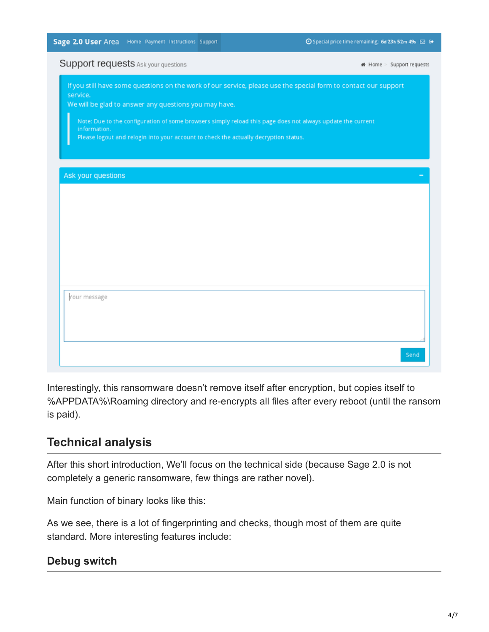| Sage 2.0 User Area Home Payment Instructions Support |  |  |  |  |
|------------------------------------------------------|--|--|--|--|
|------------------------------------------------------|--|--|--|--|

| <b>SUPPORT requests</b> Ask your questions                                                                      | # Home > Support requests |
|-----------------------------------------------------------------------------------------------------------------|---------------------------|
| If you still have some questions on the work of our service, please use the special form to contact our support |                           |
| service.<br>We will be glad to answer any questions you may have.                                               |                           |
| Note: Due to the configuration of some browsers simply reload this page does not always update the current      |                           |
| information.                                                                                                    |                           |
| Please logout and relogin into your account to check the actually decryption status.                            |                           |
|                                                                                                                 |                           |
| Ask your questions                                                                                              |                           |
|                                                                                                                 |                           |
|                                                                                                                 |                           |
|                                                                                                                 |                           |
|                                                                                                                 |                           |
|                                                                                                                 |                           |
|                                                                                                                 |                           |
|                                                                                                                 |                           |
|                                                                                                                 |                           |
| Your message                                                                                                    |                           |
|                                                                                                                 |                           |
|                                                                                                                 |                           |
|                                                                                                                 |                           |
|                                                                                                                 |                           |
|                                                                                                                 | Send                      |

Interestingly, this ransomware doesn't remove itself after encryption, but copies itself to %APPDATA%\Roaming directory and re-encrypts all files after every reboot (until the ransom is paid).

#### **Technical analysis**

After this short introduction, We'll focus on the technical side (because Sage 2.0 is not completely a generic ransomware, few things are rather novel).

Main function of binary looks like this:

As we see, there is a lot of fingerprinting and checks, though most of them are quite standard. More interesting features include:

#### **Debug switch**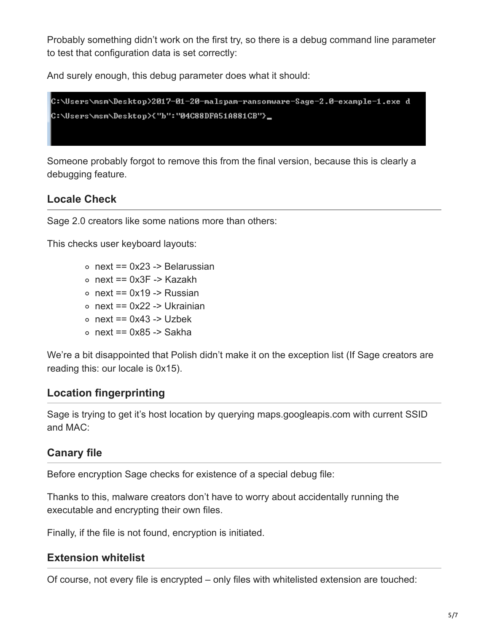Probably something didn't work on the first try, so there is a debug command line parameter to test that configuration data is set correctly:

And surely enough, this debug parameter does what it should:



Someone probably forgot to remove this from the final version, because this is clearly a debugging feature.

#### **Locale Check**

Sage 2.0 creators like some nations more than others:

This checks user keyboard layouts:

- $\circ$  next == 0x23 -> Belarussian
- $\circ$  next == 0x3F -> Kazakh
- $\circ$  next == 0x19 -> Russian
- $\circ$  next == 0x22 -> Ukrainian
- $\circ$  next == 0x43 -> Uzbek
- $\circ$  next == 0x85 -> Sakha

We're a bit disappointed that Polish didn't make it on the exception list (If Sage creators are reading this: our locale is 0x15).

#### **Location fingerprinting**

Sage is trying to get it's host location by querying maps.googleapis.com with current SSID and MAC:

#### **Canary file**

Before encryption Sage checks for existence of a special debug file:

Thanks to this, malware creators don't have to worry about accidentally running the executable and encrypting their own files.

Finally, if the file is not found, encryption is initiated.

#### **Extension whitelist**

Of course, not every file is encrypted – only files with whitelisted extension are touched: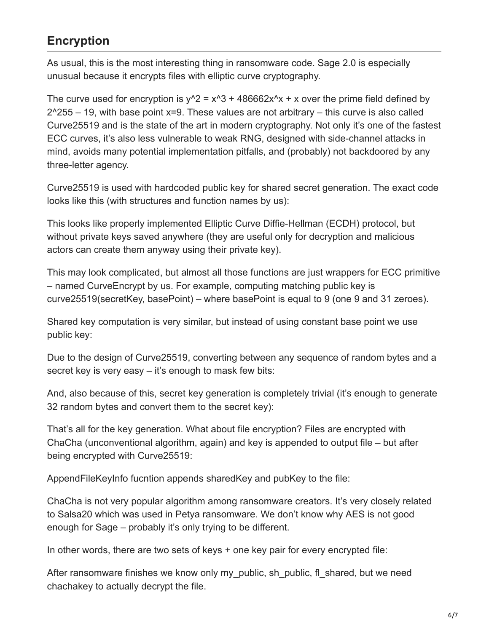## **Encryption**

As usual, this is the most interesting thing in ransomware code. Sage 2.0 is especially unusual because it encrypts files with elliptic curve cryptography.

The curve used for encryption is  $y^2 = x^3 + 486662x^2 + x$  over the prime field defined by  $2^2$ 255 – 19, with base point x=9. These values are not arbitrary – this curve is also called Curve25519 and is the state of the art in modern cryptography. Not only it's one of the fastest ECC curves, it's also less vulnerable to weak RNG, designed with side-channel attacks in mind, avoids many potential implementation pitfalls, and (probably) not backdoored by any three-letter agency.

Curve25519 is used with hardcoded public key for shared secret generation. The exact code looks like this (with structures and function names by us):

This looks like properly implemented Elliptic Curve Diffie-Hellman (ECDH) protocol, but without private keys saved anywhere (they are useful only for decryption and malicious actors can create them anyway using their private key).

This may look complicated, but almost all those functions are just wrappers for ECC primitive – named CurveEncrypt by us. For example, computing matching public key is curve25519(secretKey, basePoint) – where basePoint is equal to 9 (one 9 and 31 zeroes).

Shared key computation is very similar, but instead of using constant base point we use public key:

Due to the design of Curve25519, converting between any sequence of random bytes and a secret key is very easy – it's enough to mask few bits:

And, also because of this, secret key generation is completely trivial (it's enough to generate 32 random bytes and convert them to the secret key):

That's all for the key generation. What about file encryption? Files are encrypted with ChaCha (unconventional algorithm, again) and key is appended to output file – but after being encrypted with Curve25519:

AppendFileKeyInfo fucntion appends sharedKey and pubKey to the file:

ChaCha is not very popular algorithm among ransomware creators. It's very closely related to Salsa20 which was used in Petya ransomware. We don't know why AES is not good enough for Sage – probably it's only trying to be different.

In other words, there are two sets of keys + one key pair for every encrypted file:

After ransomware finishes we know only my public, sh\_public, fl\_shared, but we need chachakey to actually decrypt the file.